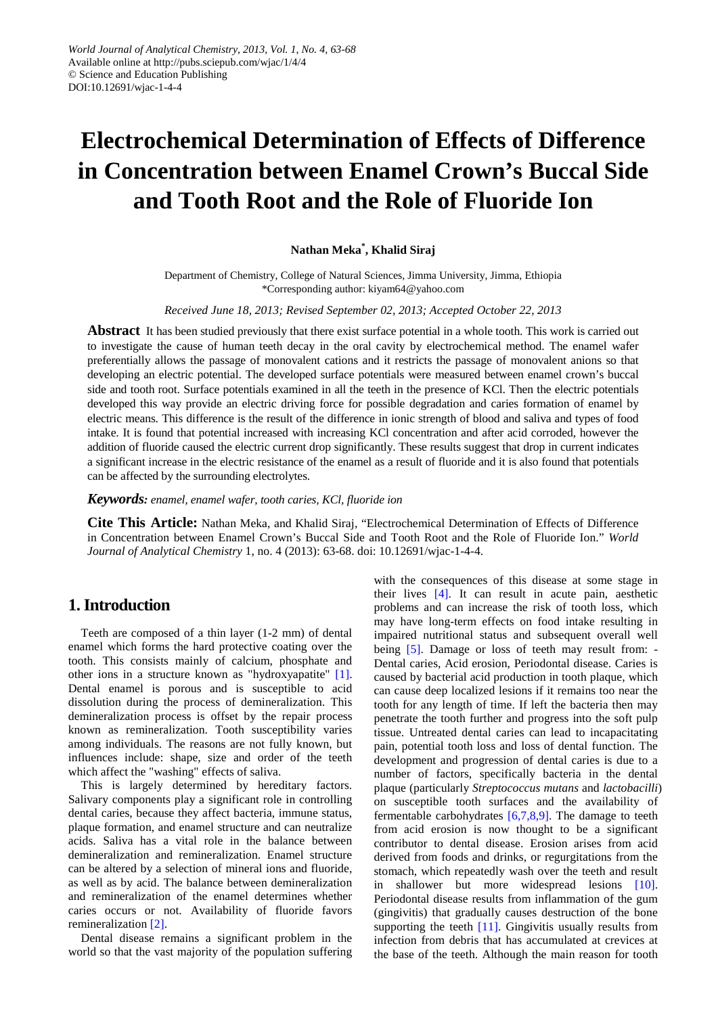# **Electrochemical Determination of Effects of Difference in Concentration between Enamel Crown's Buccal Side and Tooth Root and the Role of Fluoride Ion**

#### **Nathan Meka\* , Khalid Siraj**

Department of Chemistry, College of Natural Sciences, Jimma University, Jimma, Ethiopia \*Corresponding author: kiyam64@yahoo.com

*Received June 18, 2013; Revised September 02, 2013; Accepted October 22, 2013*

**Abstract** It has been studied previously that there exist surface potential in a whole tooth. This work is carried out to investigate the cause of human teeth decay in the oral cavity by electrochemical method. The enamel wafer preferentially allows the passage of monovalent cations and it restricts the passage of monovalent anions so that developing an electric potential. The developed surface potentials were measured between enamel crown's buccal side and tooth root. Surface potentials examined in all the teeth in the presence of KCl. Then the electric potentials developed this way provide an electric driving force for possible degradation and caries formation of enamel by electric means. This difference is the result of the difference in ionic strength of blood and saliva and types of food intake. It is found that potential increased with increasing KCl concentration and after acid corroded, however the addition of fluoride caused the electric current drop significantly. These results suggest that drop in current indicates a significant increase in the electric resistance of the enamel as a result of fluoride and it is also found that potentials can be affected by the surrounding electrolytes.

*Keywords: enamel, enamel wafer, tooth caries, KCl, fluoride ion*

**Cite This Article:** Nathan Meka, and Khalid Siraj, "Electrochemical Determination of Effects of Difference in Concentration between Enamel Crown's Buccal Side and Tooth Root and the Role of Fluoride Ion." *World Journal of Analytical Chemistry* 1, no. 4 (2013): 63-68. doi: 10.12691/wjac-1-4-4.

# **1. Introduction**

Teeth are composed of a thin layer (1-2 mm) of dental enamel which forms the hard protective coating over the tooth. This consists mainly of calcium, phosphate and other ions in a structure known as "hydroxyapatite" [\[1\].](#page-4-0) Dental enamel is porous and is susceptible to acid dissolution during the process of demineralization. This demineralization process is offset by the repair process known as remineralization. Tooth susceptibility varies among individuals. The reasons are not fully known, but influences include: shape, size and order of the teeth which affect the "washing" effects of saliva.

This is largely determined by hereditary factors. Salivary components play a significant role in controlling dental caries, because they affect bacteria, immune status, plaque formation, and enamel structure and can neutralize acids. Saliva has a vital role in the balance between demineralization and remineralization. Enamel structure can be altered by a selection of mineral ions and fluoride, as well as by acid. The balance between demineralization and remineralization of the enamel determines whether caries occurs or not. Availability of fluoride favors remineralization [\[2\].](#page-4-1)

Dental disease remains a significant problem in the world so that the vast majority of the population suffering with the consequences of this disease at some stage in their lives [\[4\].](#page-4-2) It can result in acute pain, aesthetic problems and can increase the risk of tooth loss, which may have long-term effects on food intake resulting in impaired nutritional status and subsequent overall well being [\[5\].](#page-4-3) Damage or loss of teeth may result from: -Dental caries, Acid erosion, Periodontal disease. Caries is caused by bacterial acid production in tooth plaque, which can cause deep localized lesions if it remains too near the tooth for any length of time. If left the bacteria then may penetrate the tooth further and progress into the soft pulp tissue. Untreated dental caries can lead to incapacitating pain, potential tooth loss and loss of dental function. The development and progression of dental caries is due to a number of factors, specifically bacteria in the dental plaque (particularly *Streptococcus mutans* and *lactobacilli*) on susceptible tooth surfaces and the availability of fermentable carbohydrates [\[6,7,8,9\].](#page-4-4) The damage to teeth from acid erosion is now thought to be a significant contributor to dental disease. Erosion arises from acid derived from foods and drinks, or regurgitations from the stomach, which repeatedly wash over the teeth and result in shallower but more widespread lesions [\[10\].](#page-4-5) Periodontal disease results from inflammation of the gum (gingivitis) that gradually causes destruction of the bone supporting the teeth  $[11]$ . Gingivitis usually results from infection from debris that has accumulated at crevices at the base of the teeth. Although the main reason for tooth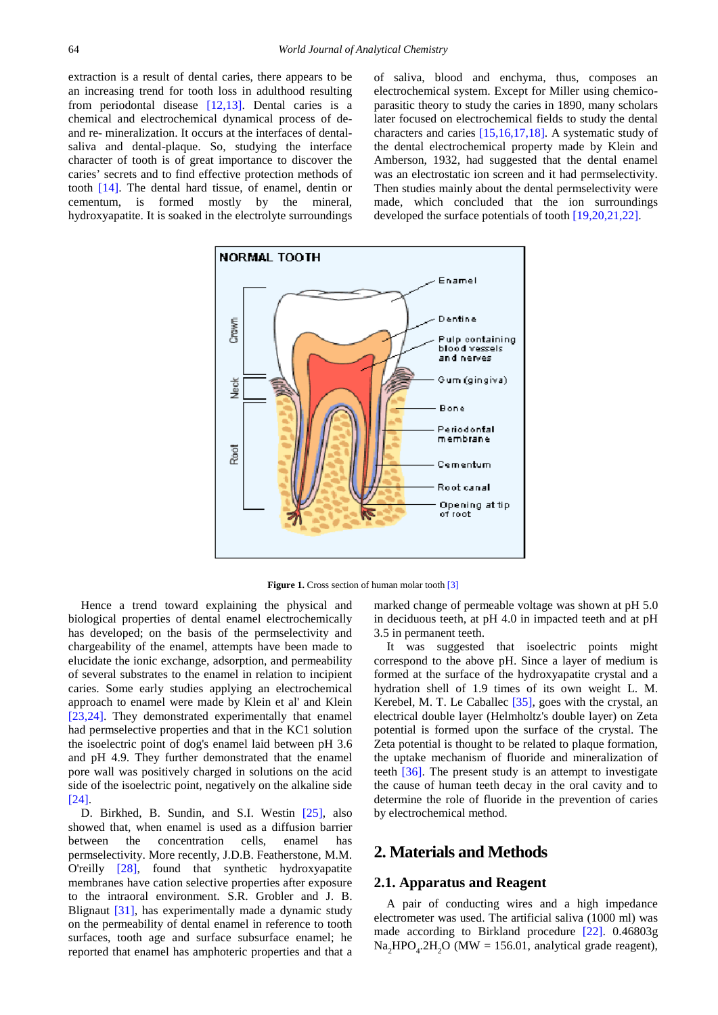extraction is a result of dental caries, there appears to be an increasing trend for tooth loss in adulthood resulting from periodontal disease [\[12,13\].](#page-4-7) Dental caries is a chemical and electrochemical dynamical process of deand re- mineralization. It occurs at the interfaces of dentalsaliva and dental-plaque. So, studying the interface character of tooth is of great importance to discover the caries' secrets and to find effective protection methods of tooth [\[14\].](#page-5-0) The dental hard tissue, of enamel, dentin or cementum, is formed mostly by the mineral, hydroxyapatite. It is soaked in the electrolyte surroundings

of saliva, blood and enchyma, thus, composes an electrochemical system. Except for Miller using chemicoparasitic theory to study the caries in 1890, many scholars later focused on electrochemical fields to study the dental characters and caries [\[15,16,17,18\].](#page-5-1) A systematic study of the dental electrochemical property made by Klein and Amberson, 1932, had suggested that the dental enamel was an electrostatic ion screen and it had permselectivity. Then studies mainly about the dental permselectivity were made, which concluded that the ion surroundings developed the surface potentials of tooth [\[19,20,21,22\].](#page-5-2)

<span id="page-1-0"></span>

**Figure 1.** Cross section of human molar toot[h \[3\]](#page-4-8)

Hence a trend toward explaining the physical and biological properties of dental enamel electrochemically has developed; on the basis of the permselectivity and chargeability of the enamel, attempts have been made to elucidate the ionic exchange, adsorption, and permeability of several substrates to the enamel in relation to incipient caries. Some early studies applying an electrochemical approach to enamel were made by Klein et al' and Klein [\[23,24\].](#page-5-3) They demonstrated experimentally that enamel had permselective properties and that in the KC1 solution the isoelectric point of dog's enamel laid between pH 3.6 and pH 4.9. They further demonstrated that the enamel pore wall was positively charged in solutions on the acid side of the isoelectric point, negatively on the alkaline side [\[24\].](#page-5-4)

D. Birkhed, B. Sundin, and S.I. Westin [\[25\],](#page-5-5) also showed that, when enamel is used as a diffusion barrier between the concentration cells, enamel has permselectivity. More recently, J.D.B. Featherstone, M.M. O'reilly [\[28\],](#page-5-6) found that synthetic hydroxyapatite membranes have cation selective properties after exposure to the intraoral environment. S.R. Grobler and J. B. Blignaut [\[31\],](#page-5-7) has experimentally made a dynamic study on the permeability of dental enamel in reference to tooth surfaces, tooth age and surface subsurface enamel; he reported that enamel has amphoteric properties and that a

marked change of permeable voltage was shown at pH 5.0 in deciduous teeth, at pH 4.0 in impacted teeth and at pH 3.5 in permanent teeth.

It was suggested that isoelectric points might correspond to the above pH. Since a layer of medium is formed at the surface of the hydroxyapatite crystal and a hydration shell of 1.9 times of its own weight L. M. Kerebel, M. T. Le Caballec [\[35\],](#page-5-8) goes with the crystal, an electrical double layer (Helmholtz's double layer) on Zeta potential is formed upon the surface of the crystal. The Zeta potential is thought to be related to plaque formation, the uptake mechanism of fluoride and mineralization of teeth [\[36\].](#page-5-9) The present study is an attempt to investigate the cause of human teeth decay in the oral cavity and to determine the role of fluoride in the prevention of caries by electrochemical method.

# **2. Materials and Methods**

#### **2.1. Apparatus and Reagent**

A pair of conducting wires and a high impedance electrometer was used. The artificial saliva (1000 ml) was made according to Birkland procedure [\[22\].](#page-5-10) 0.46803g  $\text{Na}_2\text{HPO}_4.2\text{H}_2\text{O}$  (MW = 156.01, analytical grade reagent),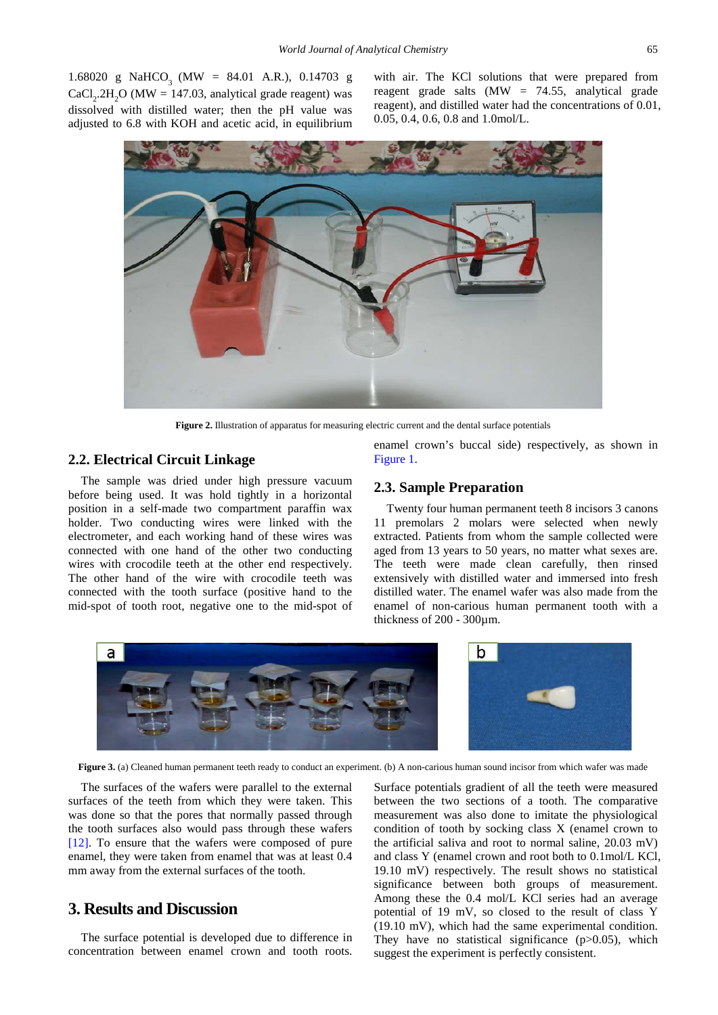1.68020 g NaHCO<sub>3</sub> (MW = 84.01 A.R.), 0.14703 g  $CaCl<sub>2</sub>$ .2H<sub>2</sub>O (MW = 147.03, analytical grade reagent) was dissolved with distilled water; then the pH value was adjusted to 6.8 with KOH and acetic acid, in equilibrium

with air. The KCl solutions that were prepared from reagent grade salts  $(MW = 74.55$ , analytical grade reagent), and distilled water had the concentrations of 0.01, 0.05, 0.4, 0.6, 0.8 and 1.0mol/L.

<span id="page-2-0"></span>

**Figure 2.** Illustration of apparatus for measuring electric current and the dental surface potentials

#### **2.2. Electrical Circuit Linkage**

The sample was dried under high pressure vacuum before being used. It was hold tightly in a horizontal position in a self-made two compartment paraffin wax holder. Two conducting wires were linked with the electrometer, and each working hand of these wires was connected with one hand of the other two conducting wires with crocodile teeth at the other end respectively. The other hand of the wire with crocodile teeth was connected with the tooth surface (positive hand to the mid-spot of tooth root, negative one to the mid-spot of

enamel crown's buccal side) respectively, as shown in [Figure 1.](#page-1-0)

#### **2.3. Sample Preparation**

Twenty four human permanent teeth 8 incisors 3 canons 11 premolars 2 molars were selected when newly extracted. Patients from whom the sample collected were aged from 13 years to 50 years, no matter what sexes are. The teeth were made clean carefully, then rinsed extensively with distilled water and immersed into fresh distilled water. The enamel wafer was also made from the enamel of non-carious human permanent tooth with a thickness of 200 - 300µm.



**Figure 3.** (a) Cleaned human permanent teeth ready to conduct an experiment. (b) A non-carious human sound incisor from which wafer was made

The surfaces of the wafers were parallel to the external surfaces of the teeth from which they were taken. This was done so that the pores that normally passed through the tooth surfaces also would pass through these wafers [\[12\].](#page-4-7) To ensure that the wafers were composed of pure enamel, they were taken from enamel that was at least 0.4 mm away from the external surfaces of the tooth.

### **3. Results and Discussion**

The surface potential is developed due to difference in concentration between enamel crown and tooth roots. Surface potentials gradient of all the teeth were measured between the two sections of a tooth. The comparative measurement was also done to imitate the physiological condition of tooth by socking class X (enamel crown to the artificial saliva and root to normal saline, 20.03 mV) and class Y (enamel crown and root both to 0.1mol/L KCl, 19.10 mV) respectively. The result shows no statistical significance between both groups of measurement. Among these the 0.4 mol/L KCl series had an average potential of 19 mV, so closed to the result of class Y (19.10 mV), which had the same experimental condition. They have no statistical significance  $(p>0.05)$ , which suggest the experiment is perfectly consistent.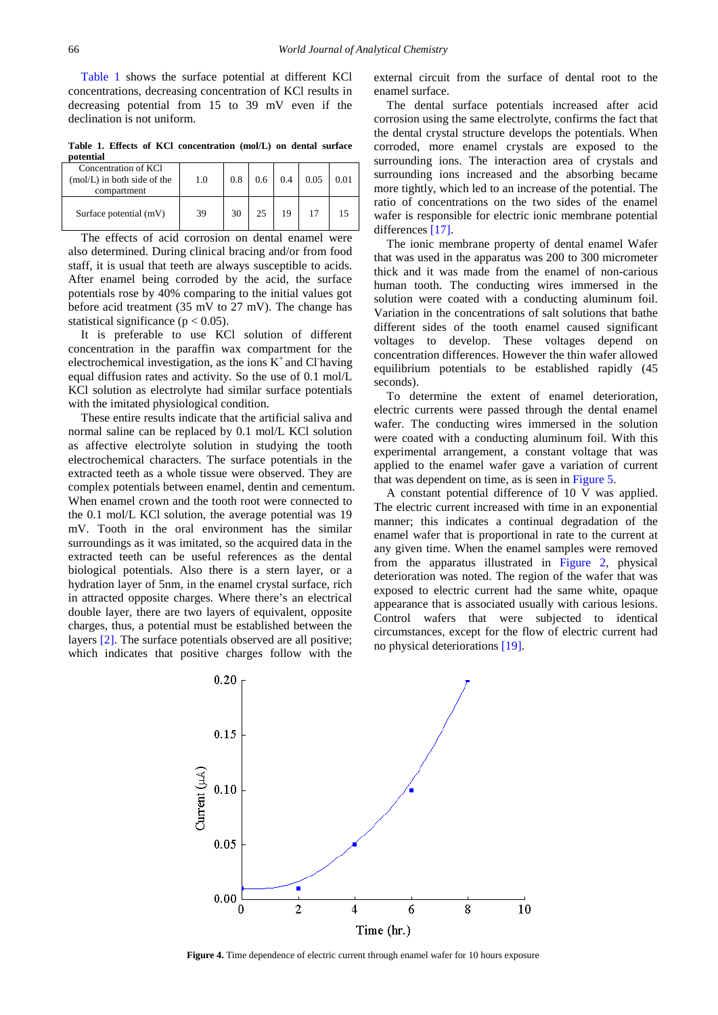[Table 1](#page-3-0) shows the surface potential at different KCl concentrations, decreasing concentration of KCl results in decreasing potential from 15 to 39 mV even if the declination is not uniform.

**Table 1. Effects of KCl concentration (mol/L) on dental surface potential**

<span id="page-3-0"></span>

| Concentration of KCl<br>$(mol/L)$ in both side of the<br>compartment | 1.0 | 0.8 | 0.6 | 0.4 | 0.05 | 0.01 |
|----------------------------------------------------------------------|-----|-----|-----|-----|------|------|
| Surface potential (mV)                                               | 39  | 30  |     |     |      |      |

The effects of acid corrosion on dental enamel were also determined. During clinical bracing and/or from food staff, it is usual that teeth are always susceptible to acids. After enamel being corroded by the acid, the surface potentials rose by 40% comparing to the initial values got before acid treatment (35 mV to 27 mV). The change has statistical significance ( $p < 0.05$ ).

It is preferable to use KCl solution of different concentration in the paraffin wax compartment for the electrochemical investigation, as the ions  $K^+$  and Cl having equal diffusion rates and activity. So the use of 0.1 mol/L KCl solution as electrolyte had similar surface potentials with the imitated physiological condition.

These entire results indicate that the artificial saliva and normal saline can be replaced by 0.1 mol/L KCl solution as affective electrolyte solution in studying the tooth electrochemical characters. The surface potentials in the extracted teeth as a whole tissue were observed. They are complex potentials between enamel, dentin and cementum. When enamel crown and the tooth root were connected to the 0.1 mol/L KCl solution, the average potential was 19 mV. Tooth in the oral environment has the similar surroundings as it was imitated, so the acquired data in the extracted teeth can be useful references as the dental biological potentials. Also there is a stern layer, or a hydration layer of 5nm, in the enamel crystal surface, rich in attracted opposite charges. Where there's an electrical double layer, there are two layers of equivalent, opposite charges, thus, a potential must be established between the layers [\[2\].](#page-4-1) The surface potentials observed are all positive; which indicates that positive charges follow with the

external circuit from the surface of dental root to the enamel surface.

The dental surface potentials increased after acid corrosion using the same electrolyte, confirms the fact that the dental crystal structure develops the potentials. When corroded, more enamel crystals are exposed to the surrounding ions. The interaction area of crystals and surrounding ions increased and the absorbing became more tightly, which led to an increase of the potential. The ratio of concentrations on the two sides of the enamel wafer is responsible for electric ionic membrane potential differences [\[17\].](#page-5-11)

The ionic membrane property of dental enamel Wafer that was used in the apparatus was 200 to 300 micrometer thick and it was made from the enamel of non-carious human tooth. The conducting wires immersed in the solution were coated with a conducting aluminum foil. Variation in the concentrations of salt solutions that bathe different sides of the tooth enamel caused significant voltages to develop. These voltages depend on concentration differences. However the thin wafer allowed equilibrium potentials to be established rapidly (45 seconds).

To determine the extent of enamel deterioration, electric currents were passed through the dental enamel wafer. The conducting wires immersed in the solution were coated with a conducting aluminum foil. With this experimental arrangement, a constant voltage that was applied to the enamel wafer gave a variation of current that was dependent on time, as is seen in [Figure 5.](#page-4-9)

A constant potential difference of 10 V was applied. The electric current increased with time in an exponential manner; this indicates a continual degradation of the enamel wafer that is proportional in rate to the current at any given time. When the enamel samples were removed from the apparatus illustrated in [Figure 2,](#page-2-0) physical deterioration was noted. The region of the wafer that was exposed to electric current had the same white, opaque appearance that is associated usually with carious lesions. Control wafers that were subjected to identical circumstances, except for the flow of electric current had no physical deteriorations [\[19\].](#page-5-2)



**Figure 4.** Time dependence of electric current through enamel wafer for 10 hours exposure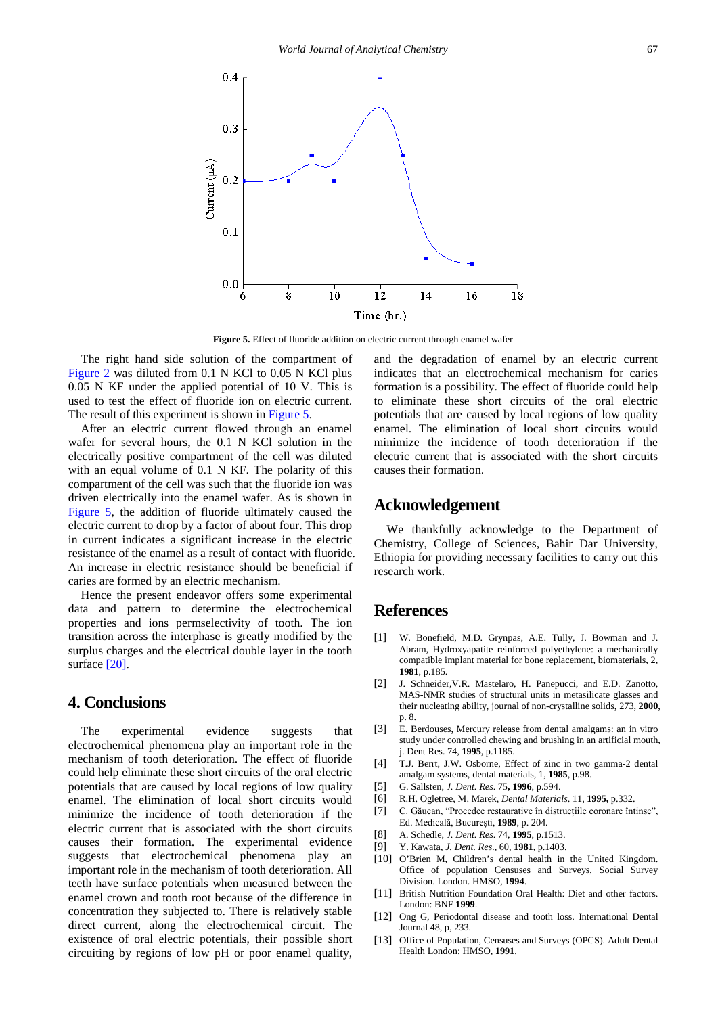<span id="page-4-9"></span>

**Figure 5.** Effect of fluoride addition on electric current through enamel wafer

The right hand side solution of the compartment of [Figure 2](#page-2-0) was diluted from 0.1 N KCl to 0.05 N KCl plus 0.05 N KF under the applied potential of 10 V. This is used to test the effect of fluoride ion on electric current. The result of this experiment is shown in [Figure 5.](#page-4-9)

After an electric current flowed through an enamel wafer for several hours, the 0.1 N KCl solution in the electrically positive compartment of the cell was diluted with an equal volume of 0.1 N KF. The polarity of this compartment of the cell was such that the fluoride ion was driven electrically into the enamel wafer. As is shown in [Figure 5,](#page-4-9) the addition of fluoride ultimately caused the electric current to drop by a factor of about four. This drop in current indicates a significant increase in the electric resistance of the enamel as a result of contact with fluoride. An increase in electric resistance should be beneficial if caries are formed by an electric mechanism.

Hence the present endeavor offers some experimental data and pattern to determine the electrochemical properties and ions permselectivity of tooth. The ion transition across the interphase is greatly modified by the surplus charges and the electrical double layer in the tooth surface [\[20\].](#page-5-12)

## **4. Conclusions**

The experimental evidence suggests that electrochemical phenomena play an important role in the mechanism of tooth deterioration. The effect of fluoride could help eliminate these short circuits of the oral electric potentials that are caused by local regions of low quality enamel. The elimination of local short circuits would minimize the incidence of tooth deterioration if the electric current that is associated with the short circuits causes their formation. The experimental evidence suggests that electrochemical phenomena play an important role in the mechanism of tooth deterioration. All teeth have surface potentials when measured between the enamel crown and tooth root because of the difference in concentration they subjected to. There is relatively stable direct current, along the electrochemical circuit. The existence of oral electric potentials, their possible short circuiting by regions of low pH or poor enamel quality,

and the degradation of enamel by an electric current indicates that an electrochemical mechanism for caries formation is a possibility. The effect of fluoride could help to eliminate these short circuits of the oral electric potentials that are caused by local regions of low quality enamel. The elimination of local short circuits would minimize the incidence of tooth deterioration if the electric current that is associated with the short circuits causes their formation.

#### **Acknowledgement**

We thankfully acknowledge to the Department of Chemistry, College of Sciences, Bahir Dar University, Ethiopia for providing necessary facilities to carry out this research work.

#### **References**

- <span id="page-4-0"></span>[1] W. Bonefield, M.D. Grynpas, A.E. Tully, J. Bowman and J. Abram, Hydroxyapatite reinforced polyethylene: a mechanically compatible implant material for bone replacement, biomaterials, 2, **1981**, p.185.
- <span id="page-4-1"></span>[2] J. Schneider,V.R. Mastelaro, H. Panepucci, and E.D. Zanotto, MAS-NMR studies of structural units in metasilicate glasses and their nucleating ability, journal of non-crystalline solids, 273, **2000**, p. 8.
- <span id="page-4-8"></span>[3] E. Berdouses, Mercury release from dental amalgams: an in vitro study under controlled chewing and brushing in an artificial mouth, j. Dent Res. 74, **1995**, p.1185.
- <span id="page-4-2"></span>[4] T.J. Berrt, J.W. Osborne, Effect of zinc in two gamma-2 dental amalgam systems, dental materials, 1, **1985**, p.98.
- <span id="page-4-3"></span>[5] G. Sallsten, *J. Dent. Res*. 75**, 1996**, p.594.
- <span id="page-4-4"></span>[6] R.H. Ogletree, M. Marek, *Dental Materials*. 11, **1995,** p.332.
- [7] C. Găucan, "Procedee restaurative în distrucțiile coronare întinse", Ed. Medicală, Bucureşti, **1989**, p. 204.
- [8] A. Schedle, *J. Dent. Res*. 74, **1995**, p.1513.
- [9] Y. Kawata, *J. Dent. Res*., 60, **1981**, p.1403.
- <span id="page-4-5"></span>[10] O'Brien M, Children's dental health in the United Kingdom. Office of population Censuses and Surveys, Social Survey Division. London. HMSO, **1994**.
- <span id="page-4-6"></span>[11] British Nutrition Foundation Oral Health: Diet and other factors. London: BNF **1999**.
- <span id="page-4-7"></span>[12] Ong G, Periodontal disease and tooth loss. International Dental Journal 48, p, 233.
- [13] Office of Population, Censuses and Surveys (OPCS). Adult Dental Health London: HMSO, **1991**.